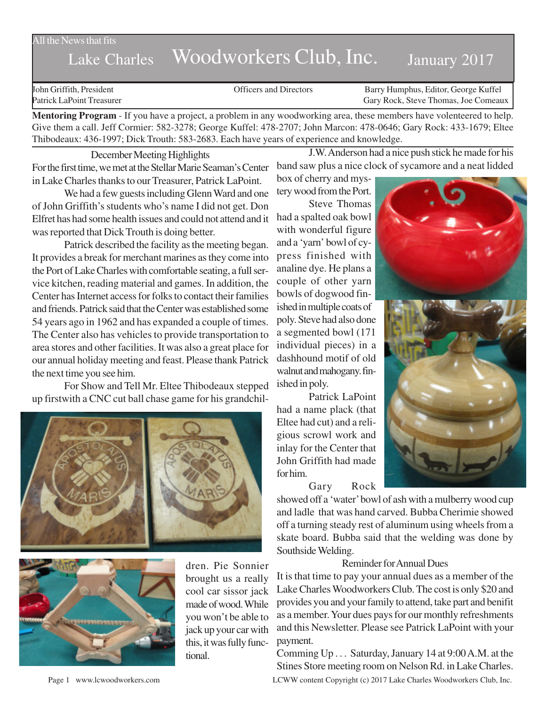All the News that fits

## Lake Charles Woodworkers Club, Inc. January 2017

John Griffith, President Officers and Directors Barry Humphus, Editor, George Kuffel Patrick LaPoint Treasurer Gary Rock, Steve Thomas, Joe Comeaux

**Mentoring Program** - If you have a project, a problem in any woodworking area, these members have volenteered to help. Give them a call. Jeff Cormier: 582-3278; George Kuffel: 478-2707; John Marcon: 478-0646; Gary Rock: 433-1679; Eltee Thibodeaux: 436-1997; Dick Trouth: 583-2683. Each have years of experience and knowledge.

December Meeting Highlights For the first time, we met at the Stellar Marie Seaman's Center in Lake Charles thanks to our Treasurer, Patrick LaPoint.

We had a few guests including Glenn Ward and one of John Griffith's students who's name I did not get. Don Elfret has had some health issues and could not attend and it was reported that Dick Trouth is doing better.

Patrick described the facility as the meeting began. It provides a break for merchant marines as they come into the Port of Lake Charles with comfortable seating, a full service kitchen, reading material and games. In addition, the Center has Internet access for folks to contact their families and friends. Patrick said that the Center was established some 54 years ago in 1962 and has expanded a couple of times. The Center also has vehicles to provide transportation to area stores and other facilities. It was also a great place for our annual holiday meeting and feast. Please thank Patrick the next time you see him.

For Show and Tell Mr. Eltee Thibodeaux stepped up firstwith a CNC cut ball chase game for his grandchil-





dren. Pie Sonnier brought us a really cool car sissor jack made of wood. While you won't be able to jack up your car with this, it was fully functional.

J.W. Anderson had a nice push stick he made for his band saw plus a nice clock of sycamore and a neat lidded

box of cherry and mystery wood from the Port.

Steve Thomas had a spalted oak bowl with wonderful figure and a 'yarn' bowl of cypress finished with analine dye. He plans a couple of other yarn bowls of dogwood finished in multiple coats of poly. Steve had also done a segmented bowl (171 individual pieces) in a dashhound motif of old walnut and mahogany. finished in poly.

Patrick LaPoint had a name plack (that Eltee had cut) and a religious scrowl work and inlay for the Center that John Griffith had made for him.

Gary Rock

showed off a 'water' bowl of ash with a mulberry wood cup and ladle that was hand carved. Bubba Cherimie showed off a turning steady rest of aluminum using wheels from a skate board. Bubba said that the welding was done by Southside Welding.

## Reminder for Annual Dues

It is that time to pay your annual dues as a member of the Lake Charles Woodworkers Club. The cost is only \$20 and provides you and your family to attend, take part and benifit as a member. Your dues pays for our monthly refreshments and this Newsletter. Please see Patrick LaPoint with your payment.

Page 1 www.lcwoodworkers.com LCWW content Copyright (c) 2017 Lake Charles Woodworkers Club, Inc. Comming Up . . . Saturday, January 14 at 9:00 A.M. at the Stines Store meeting room on Nelson Rd. in Lake Charles.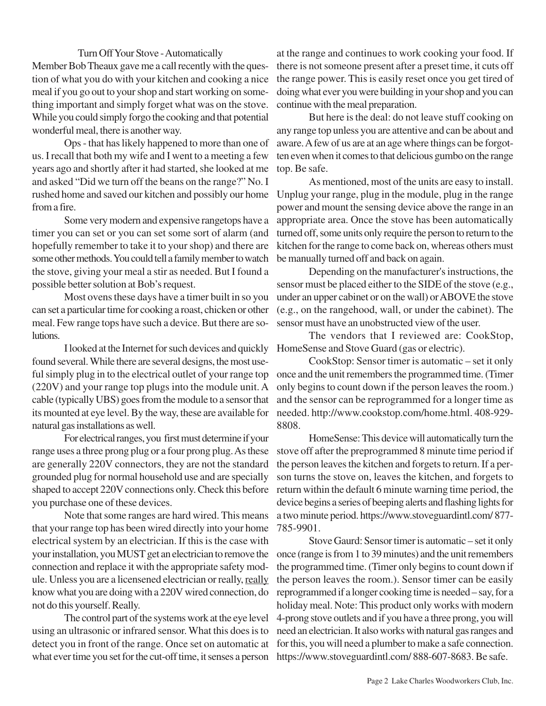## Turn Off Your Stove - Automatically

Member Bob Theaux gave me a call recently with the question of what you do with your kitchen and cooking a nice meal if you go out to your shop and start working on something important and simply forget what was on the stove. While you could simply forgo the cooking and that potential wonderful meal, there is another way.

Ops - that has likely happened to more than one of us. I recall that both my wife and I went to a meeting a few years ago and shortly after it had started, she looked at me and asked "Did we turn off the beans on the range?" No. I rushed home and saved our kitchen and possibly our home from a fire.

Some very modern and expensive rangetops have a timer you can set or you can set some sort of alarm (and hopefully remember to take it to your shop) and there are some other methods. You could tell a family member to watch the stove, giving your meal a stir as needed. But I found a possible better solution at Bob's request.

Most ovens these days have a timer built in so you can set a particular time for cooking a roast, chicken or other meal. Few range tops have such a device. But there are solutions.

I looked at the Internet for such devices and quickly found several. While there are several designs, the most useful simply plug in to the electrical outlet of your range top (220V) and your range top plugs into the module unit. A cable (typically UBS) goes from the module to a sensor that its mounted at eye level. By the way, these are available for natural gas installations as well.

For electrical ranges, you first must determine if your range uses a three prong plug or a four prong plug. As these are generally 220V connectors, they are not the standard grounded plug for normal household use and are specially shaped to accept 220V connections only. Check this before you purchase one of these devices.

Note that some ranges are hard wired. This means that your range top has been wired directly into your home electrical system by an electrician. If this is the case with your installation, you MUST get an electrician to remove the connection and replace it with the appropriate safety module. Unless you are a licensened electrician or really, really know what you are doing with a 220V wired connection, do not do this yourself. Really.

The control part of the systems work at the eye level using an ultrasonic or infrared sensor. What this does is to detect you in front of the range. Once set on automatic at what ever time you set for the cut-off time, it senses a person

at the range and continues to work cooking your food. If there is not someone present after a preset time, it cuts off the range power. This is easily reset once you get tired of doing what ever you were building in your shop and you can continue with the meal preparation.

But here is the deal: do not leave stuff cooking on any range top unless you are attentive and can be about and aware. A few of us are at an age where things can be forgotten even when it comes to that delicious gumbo on the range top. Be safe.

As mentioned, most of the units are easy to install. Unplug your range, plug in the module, plug in the range power and mount the sensing device above the range in an appropriate area. Once the stove has been automatically turned off, some units only require the person to return to the kitchen for the range to come back on, whereas others must be manually turned off and back on again.

Depending on the manufacturer's instructions, the sensor must be placed either to the SIDE of the stove (e.g., under an upper cabinet or on the wall) or ABOVE the stove (e.g., on the rangehood, wall, or under the cabinet). The sensor must have an unobstructed view of the user.

The vendors that I reviewed are: CookStop, HomeSense and Stove Guard (gas or electric).

CookStop: Sensor timer is automatic – set it only once and the unit remembers the programmed time. (Timer only begins to count down if the person leaves the room.) and the sensor can be reprogrammed for a longer time as needed. http://www.cookstop.com/home.html. 408-929- 8808.

HomeSense: This device will automatically turn the stove off after the preprogrammed 8 minute time period if the person leaves the kitchen and forgets to return. If a person turns the stove on, leaves the kitchen, and forgets to return within the default 6 minute warning time period, the device begins a series of beeping alerts and flashing lights for a two minute period. https://www.stoveguardintl.com/ 877- 785-9901.

Stove Gaurd: Sensor timer is automatic – set it only once (range is from 1 to 39 minutes) and the unit remembers the programmed time. (Timer only begins to count down if the person leaves the room.). Sensor timer can be easily reprogrammed if a longer cooking time is needed – say, for a holiday meal. Note: This product only works with modern 4-prong stove outlets and if you have a three prong, you will need an electrician. It also works with natural gas ranges and for this, you will need a plumber to make a safe connection. https://www.stoveguardintl.com/ 888-607-8683. Be safe.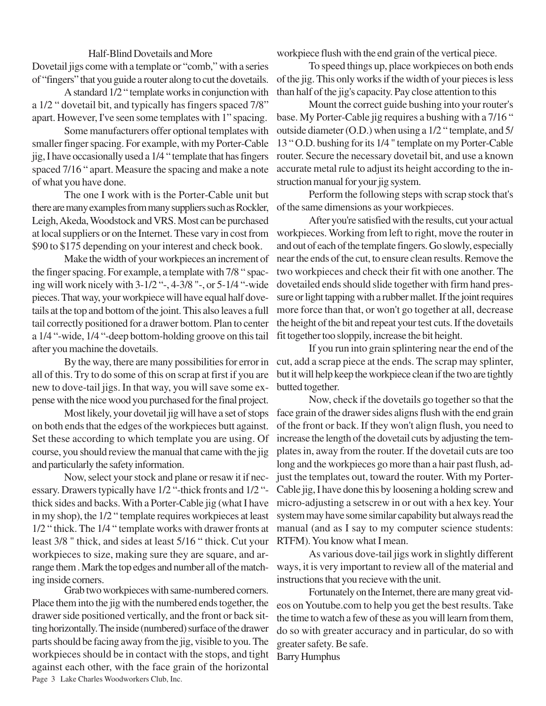Half-Blind Dovetails and More Dovetail jigs come with a template or "comb," with a series of "fingers" that you guide a router along to cut the dovetails.

A standard 1/2 " template works in conjunction with a 1/2 " dovetail bit, and typically has fingers spaced 7/8" apart. However, I've seen some templates with 1" spacing.

Some manufacturers offer optional templates with smaller finger spacing. For example, with my Porter-Cable jig, I have occasionally used a 1/4 " template that has fingers spaced 7/16 " apart. Measure the spacing and make a note of what you have done.

The one I work with is the Porter-Cable unit but there are many examples from many suppliers such as Rockler, Leigh, Akeda, Woodstock and VRS. Most can be purchased at local suppliers or on the Internet. These vary in cost from \$90 to \$175 depending on your interest and check book.

Make the width of your workpieces an increment of the finger spacing. For example, a template with 7/8 " spacing will work nicely with 3-1/2 "-, 4-3/8 "-, or 5-1/4 "-wide pieces. That way, your workpiece will have equal half dovetails at the top and bottom of the joint. This also leaves a full tail correctly positioned for a drawer bottom. Plan to center a 1/4 "-wide, 1/4 "-deep bottom-holding groove on this tail after you machine the dovetails.

By the way, there are many possibilities for error in all of this. Try to do some of this on scrap at first if you are new to dove-tail jigs. In that way, you will save some expense with the nice wood you purchased for the final project.

Most likely, your dovetail jig will have a set of stops on both ends that the edges of the workpieces butt against. Set these according to which template you are using. Of course, you should review the manual that came with the jig and particularly the safety information.

Now, select your stock and plane or resaw it if necessary. Drawers typically have 1/2 "-thick fronts and 1/2 " thick sides and backs. With a Porter-Cable jig (what I have in my shop), the 1/2 " template requires workpieces at least 1/2 " thick. The 1/4 " template works with drawer fronts at least 3/8 " thick, and sides at least 5/16 " thick. Cut your workpieces to size, making sure they are square, and arrange them . Mark the top edges and number all of the matching inside corners.

Page 3 Lake Charles Woodworkers Club, Inc. Grab two workpieces with same-numbered corners. Place them into the jig with the numbered ends together, the drawer side positioned vertically, and the front or back sitting horizontally. The inside (numbered) surface of the drawer parts should be facing away from the jig, visible to you. The workpieces should be in contact with the stops, and tight against each other, with the face grain of the horizontal

workpiece flush with the end grain of the vertical piece.

To speed things up, place workpieces on both ends of the jig. This only works if the width of your pieces is less than half of the jig's capacity. Pay close attention to this

Mount the correct guide bushing into your router's base. My Porter-Cable jig requires a bushing with a 7/16 " outside diameter (O.D.) when using a 1/2 " template, and 5/ 13 " O.D. bushing for its 1/4 " template on my Porter-Cable router. Secure the necessary dovetail bit, and use a known accurate metal rule to adjust its height according to the instruction manual for your jig system.

Perform the following steps with scrap stock that's of the same dimensions as your workpieces.

After you're satisfied with the results, cut your actual workpieces. Working from left to right, move the router in and out of each of the template fingers. Go slowly, especially near the ends of the cut, to ensure clean results. Remove the two workpieces and check their fit with one another. The dovetailed ends should slide together with firm hand pressure or light tapping with a rubber mallet. If the joint requires more force than that, or won't go together at all, decrease the height of the bit and repeat your test cuts. If the dovetails fit together too sloppily, increase the bit height.

If you run into grain splintering near the end of the cut, add a scrap piece at the ends. The scrap may splinter, but it will help keep the workpiece clean if the two are tightly butted together.

Now, check if the dovetails go together so that the face grain of the drawer sides aligns flush with the end grain of the front or back. If they won't align flush, you need to increase the length of the dovetail cuts by adjusting the templates in, away from the router. If the dovetail cuts are too long and the workpieces go more than a hair past flush, adjust the templates out, toward the router. With my Porter-Cable jig, I have done this by loosening a holding screw and micro-adjusting a setscrew in or out with a hex key. Your system may have some similar capability but always read the manual (and as I say to my computer science students: RTFM). You know what I mean.

As various dove-tail jigs work in slightly different ways, it is very important to review all of the material and instructions that you recieve with the unit.

Fortunately on the Internet, there are many great videos on Youtube.com to help you get the best results. Take the time to watch a few of these as you will learn from them, do so with greater accuracy and in particular, do so with greater safety. Be safe.

Barry Humphus